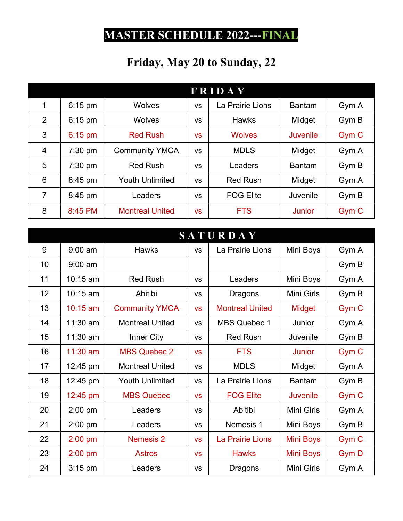## **MASTER SCHEDULE 2022---FINAL**

## **Friday, May 20 to Sunday, 22**

| <b>FRIDAY</b>  |           |                        |           |                  |               |                  |  |
|----------------|-----------|------------------------|-----------|------------------|---------------|------------------|--|
| 1              | $6:15$ pm | <b>Wolves</b>          | <b>VS</b> | La Prairie Lions | <b>Bantam</b> | Gym A            |  |
| 2              | $6:15$ pm | <b>Wolves</b>          | VS        | <b>Hawks</b>     | Midget        | Gym B            |  |
| 3              | $6:15$ pm | <b>Red Rush</b>        | <b>VS</b> | <b>Wolves</b>    | Juvenile      | Gym <sub>C</sub> |  |
| $\overline{4}$ | 7:30 pm   | <b>Community YMCA</b>  | <b>VS</b> | <b>MDLS</b>      | Midget        | Gym A            |  |
| 5              | $7:30$ pm | <b>Red Rush</b>        | VS        | Leaders          | <b>Bantam</b> | Gym B            |  |
| 6              | 8:45 pm   | <b>Youth Unlimited</b> | <b>VS</b> | <b>Red Rush</b>  | Midget        | Gym A            |  |
| $\overline{7}$ | 8:45 pm   | Leaders                | <b>VS</b> | <b>FOG Elite</b> | Juvenile      | Gym B            |  |
| 8              | 8:45 PM   | <b>Montreal United</b> | <b>VS</b> | <b>FTS</b>       | Junior        | Gym C            |  |

| <b>SATURDAY</b> |            |                        |           |                        |                  |                  |  |
|-----------------|------------|------------------------|-----------|------------------------|------------------|------------------|--|
| 9               | $9:00$ am  | <b>Hawks</b>           | <b>VS</b> | La Prairie Lions       | Mini Boys        | Gym A            |  |
| 10              | $9:00$ am  |                        |           |                        |                  | Gym B            |  |
| 11              | $10:15$ am | <b>Red Rush</b>        | <b>VS</b> | Leaders                | Mini Boys        | Gym A            |  |
| 12 <sub>2</sub> | $10:15$ am | Abitibi                | <b>VS</b> | Dragons                | Mini Girls       | Gym B            |  |
| 13              | $10:15$ am | <b>Community YMCA</b>  | <b>VS</b> | <b>Montreal United</b> | Midget           | Gym <sub>C</sub> |  |
| 14              | $11:30$ am | <b>Montreal United</b> | <b>VS</b> | <b>MBS Quebec 1</b>    | Junior           | Gym A            |  |
| 15              | 11:30 am   | Inner City             | <b>VS</b> | <b>Red Rush</b>        | Juvenile         | Gym B            |  |
| 16              | $11:30$ am | <b>MBS Quebec 2</b>    | <b>VS</b> | <b>FTS</b>             | <b>Junior</b>    | Gym <sub>C</sub> |  |
| 17              | 12:45 pm   | <b>Montreal United</b> | <b>VS</b> | <b>MDLS</b>            | Midget           | Gym A            |  |
| 18              | 12:45 pm   | <b>Youth Unlimited</b> | <b>VS</b> | La Prairie Lions       | <b>Bantam</b>    | Gym B            |  |
| 19              | 12:45 pm   | <b>MBS Quebec</b>      | <b>VS</b> | <b>FOG Elite</b>       | Juvenile         | Gym <sub>C</sub> |  |
| 20              | 2:00 pm    | Leaders                | <b>VS</b> | Abitibi                | Mini Girls       | Gym A            |  |
| 21              | $2:00$ pm  | Leaders                | <b>VS</b> | Nemesis 1              | Mini Boys        | Gym B            |  |
| 22              | 2:00 pm    | Nemesis 2              | <b>VS</b> | La Prairie Lions       | <b>Mini Boys</b> | Gym <sub>C</sub> |  |
| 23              | $2:00$ pm  | <b>Astros</b>          | <b>VS</b> | <b>Hawks</b>           | <b>Mini Boys</b> | Gym D            |  |
| 24              | 3:15 pm    | Leaders                | <b>VS</b> | <b>Dragons</b>         | Mini Girls       | Gym A            |  |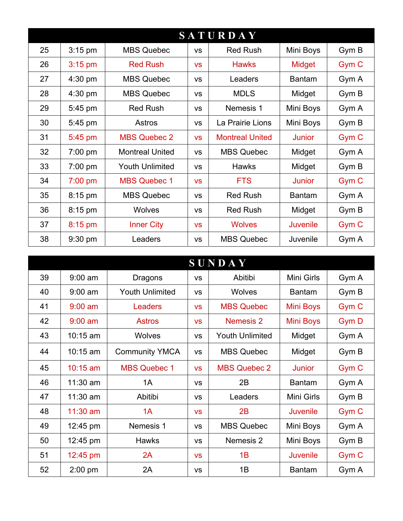| <b>SATURDAY</b> |           |                        |           |                        |                 |                  |  |
|-----------------|-----------|------------------------|-----------|------------------------|-----------------|------------------|--|
| 25              | 3:15 pm   | <b>MBS Quebec</b>      | VS        | <b>Red Rush</b>        | Mini Boys       | Gym B            |  |
| 26              | $3:15$ pm | <b>Red Rush</b>        | <b>VS</b> | <b>Hawks</b>           | Midget          | Gym C            |  |
| 27              | $4:30$ pm | <b>MBS Quebec</b>      | <b>VS</b> | Leaders                | <b>Bantam</b>   | Gym A            |  |
| 28              | 4:30 pm   | <b>MBS Quebec</b>      | <b>VS</b> | <b>MDLS</b>            | Midget          | Gym B            |  |
| 29              | $5:45$ pm | <b>Red Rush</b>        | VS        | Nemesis 1              | Mini Boys       | Gym A            |  |
| 30              | 5:45 pm   | Astros                 | <b>VS</b> | La Prairie Lions       | Mini Boys       | Gym B            |  |
| 31              | $5:45$ pm | <b>MBS Quebec 2</b>    | <b>VS</b> | <b>Montreal United</b> | <b>Junior</b>   | Gym <sub>C</sub> |  |
| 32              | $7:00$ pm | <b>Montreal United</b> | <b>VS</b> | <b>MBS Quebec</b>      | Midget          | Gym A            |  |
| 33              | 7:00 pm   | <b>Youth Unlimited</b> | VS        | <b>Hawks</b>           | Midget          | Gym B            |  |
| 34              | 7:00 pm   | <b>MBS Quebec 1</b>    | <b>VS</b> | <b>FTS</b>             | <b>Junior</b>   | Gym C            |  |
| 35              | 8:15 pm   | <b>MBS Quebec</b>      | VS        | <b>Red Rush</b>        | <b>Bantam</b>   | Gym A            |  |
| 36              | 8:15 pm   | <b>Wolves</b>          | VS        | <b>Red Rush</b>        | Midget          | Gym B            |  |
| 37              | $8:15$ pm | <b>Inner City</b>      | <b>VS</b> | <b>Wolves</b>          | <b>Juvenile</b> | Gym <sub>C</sub> |  |
| 38              | $9:30$ pm | Leaders                | <b>VS</b> | <b>MBS Quebec</b>      | Juvenile        | Gym A            |  |

| <b>SUNDAY</b> |            |                        |           |                        |                 |                  |
|---------------|------------|------------------------|-----------|------------------------|-----------------|------------------|
| 39            | $9:00$ am  | <b>Dragons</b>         | <b>VS</b> | Abitibi                | Mini Girls      | Gym A            |
| 40            | $9:00$ am  | <b>Youth Unlimited</b> | <b>VS</b> | <b>Wolves</b>          | <b>Bantam</b>   | Gym B            |
| 41            | $9:00$ am  | <b>Leaders</b>         | <b>VS</b> | <b>MBS Quebec</b>      | Mini Boys       | Gym C            |
| 42            | $9:00$ am  | <b>Astros</b>          | <b>VS</b> | Nemesis 2              | Mini Boys       | Gym D            |
| 43            | $10:15$ am | <b>Wolves</b>          | <b>VS</b> | <b>Youth Unlimited</b> | Midget          | Gym A            |
| 44            | $10:15$ am | <b>Community YMCA</b>  | <b>VS</b> | <b>MBS Quebec</b>      | Midget          | Gym B            |
| 45            | $10:15$ am | <b>MBS Quebec 1</b>    | <b>VS</b> | <b>MBS Quebec 2</b>    | <b>Junior</b>   | Gym <sub>C</sub> |
| 46            | $11:30$ am | 1A                     | <b>VS</b> | 2B                     | <b>Bantam</b>   | Gym A            |
| 47            | $11:30$ am | Abitibi                | VS        | Leaders                | Mini Girls      | Gym B            |
| 48            | $11:30$ am | 1A                     | <b>VS</b> | 2B                     | <b>Juvenile</b> | Gym <sub>C</sub> |
| 49            | 12:45 pm   | Nemesis 1              | <b>VS</b> | <b>MBS Quebec</b>      | Mini Boys       | Gym A            |
| 50            | 12:45 pm   | <b>Hawks</b>           | <b>VS</b> | Nemesis 2              | Mini Boys       | Gym B            |
| 51            | 12:45 pm   | 2A                     | <b>VS</b> | 1B                     | <b>Juvenile</b> | Gym <sub>C</sub> |
| 52            | $2:00$ pm  | 2A                     | <b>VS</b> | 1B                     | <b>Bantam</b>   | Gym A            |